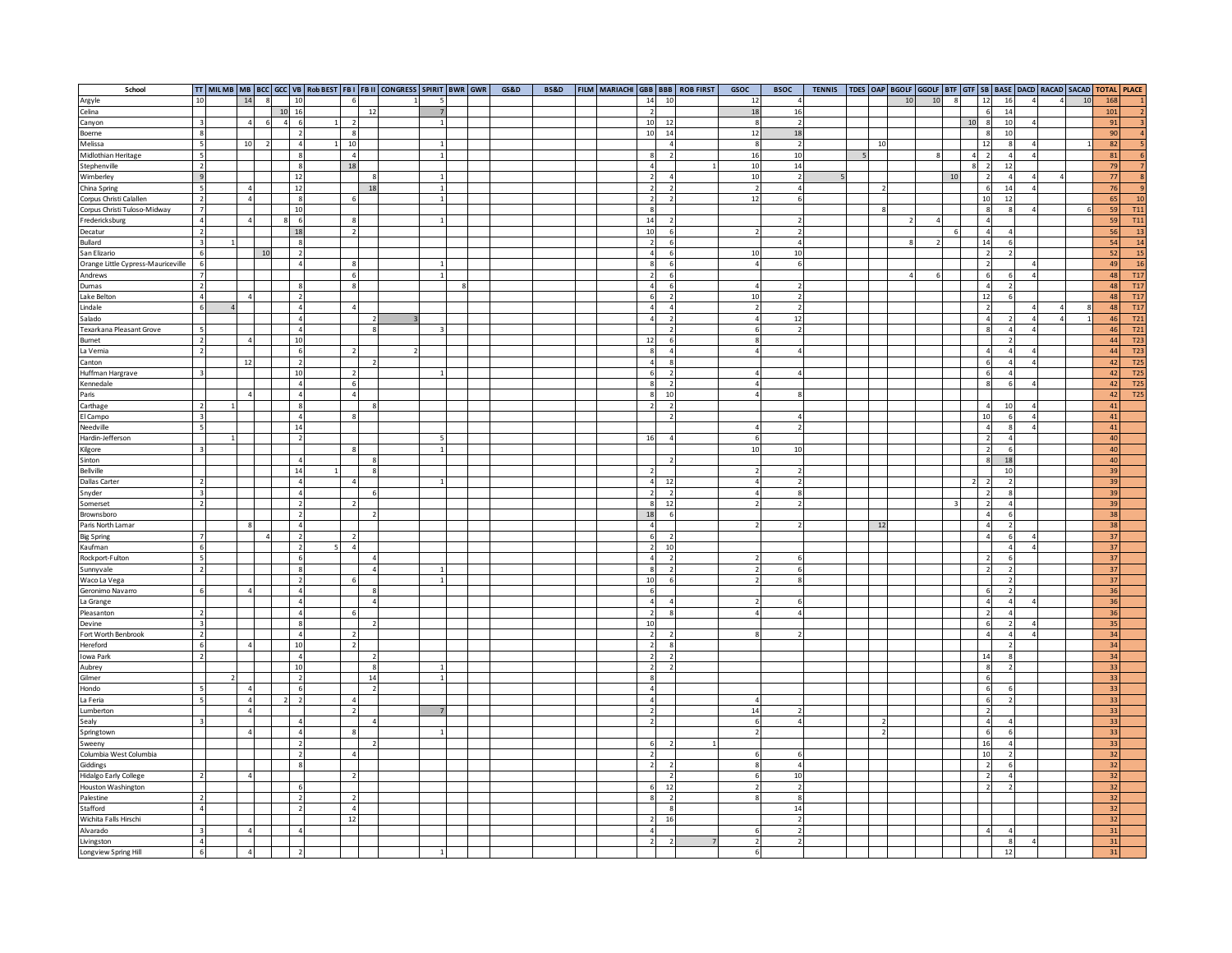| School                                      |                          |                |                     |                          |                          |                | TT   MILMB   MB   BCC   GCC   VB   Rob BEST   FB I   FB II   CONGRESS   SPIRIT   BWR   GWR |  | GS&D | <b>BS&amp;D</b> | FILM MARIACHI GBB BBB ROB FIRST |                                                                                   | GSOC          | <b>BSOC</b>              |  |    |    |    |                |                |                                            | TENNIS   TDES OAP   BGOLF   GGOLF   BTF   GTF   SB   BASE   DACD   RACAD   SACAD   TOTAL   PLACE |    |          |                               |
|---------------------------------------------|--------------------------|----------------|---------------------|--------------------------|--------------------------|----------------|--------------------------------------------------------------------------------------------|--|------|-----------------|---------------------------------|-----------------------------------------------------------------------------------|---------------|--------------------------|--|----|----|----|----------------|----------------|--------------------------------------------|--------------------------------------------------------------------------------------------------|----|----------|-------------------------------|
| Argyle                                      | 10                       | 14             | $\overline{8}$      | 10                       | -6                       |                |                                                                                            |  |      |                 |                                 | 14<br>10                                                                          | 12            |                          |  |    | 10 | 10 | $\overline{8}$ | 12             | 16                                         | $\overline{A}$                                                                                   | 10 | 168      |                               |
| Celina                                      |                          |                |                     | 10 16                    |                          | 12             |                                                                                            |  |      |                 |                                 | $\overline{\phantom{a}}$                                                          | 18            | 16                       |  |    |    |    |                |                | 6<br>14                                    |                                                                                                  |    | 101      |                               |
| Canyon                                      | $\overline{\mathbf{3}}$  | $\overline{a}$ | 6<br>$\overline{4}$ | - 6                      | $\overline{\phantom{a}}$ |                |                                                                                            |  |      |                 |                                 | 10<br>12                                                                          | 8             | $\overline{\phantom{a}}$ |  |    |    |    |                | 10             | $\boldsymbol{8}$<br>10                     |                                                                                                  |    | 91       |                               |
| Boerne                                      | $\boldsymbol{8}$         |                |                     | $\overline{\phantom{a}}$ | 8                        |                |                                                                                            |  |      |                 |                                 | 10<br>14                                                                          | $12\,$        | 18                       |  |    |    |    |                |                | $\boldsymbol{8}$<br>10                     |                                                                                                  |    | 90       |                               |
| Melissa                                     | 5                        | 10             | $\overline{2}$      | $\overline{4}$           | 10                       |                |                                                                                            |  |      |                 |                                 | $\overline{a}$                                                                    | $\mathbf{8}$  | $\mathcal{P}$            |  | 10 |    |    |                |                | 12                                         | $\mathbf{8}$                                                                                     |    | 82       |                               |
| Midlothian Heritage                         | 5                        |                |                     | - 8                      | $\overline{4}$           |                |                                                                                            |  |      |                 |                                 | 8<br>$\overline{\phantom{a}}$                                                     | 16            | 10                       |  |    |    |    |                | $\overline{a}$ | $\overline{2}$                             | $\overline{4}$                                                                                   |    | 81       |                               |
| Stephenville                                | 2                        |                |                     | $\mathbf{R}$             | 18                       |                |                                                                                            |  |      |                 |                                 | $\overline{4}$                                                                    | 10            | 14                       |  |    |    |    |                | 8              | 12<br>$\overline{2}$                       |                                                                                                  |    | 79       |                               |
| Wimberley                                   | $\overline{9}$           |                |                     | 12                       |                          |                |                                                                                            |  |      |                 |                                 | $\overline{2}$<br>$\Delta$                                                        | 10            | $\overline{2}$           |  |    |    |    | 10             |                | $\overline{2}$                             |                                                                                                  |    | 77       |                               |
| China Spring                                | $\overline{5}$           |                |                     | 12                       |                          | 18             |                                                                                            |  |      |                 |                                 | $\mathcal{L}$                                                                     | $\mathcal{L}$ |                          |  |    |    |    |                |                | 6<br>14                                    |                                                                                                  |    | 76       |                               |
| Corpus Christi Calallen                     | $\mathcal{L}$            |                |                     | $_{\rm 8}$               | $\epsilon$               |                |                                                                                            |  |      |                 |                                 | $\overline{2}$<br>$\mathcal{L}$                                                   | 12            | 6                        |  |    |    |    |                |                | 10<br>12                                   |                                                                                                  |    | 65       | 10                            |
| Corpus Christi Tuloso-Midway                | $\overline{7}$           |                |                     | 10                       |                          |                |                                                                                            |  |      |                 |                                 | 8                                                                                 |               |                          |  |    |    |    |                |                | œ.                                         |                                                                                                  |    | 59       | <b>T11</b>                    |
| Fredericksburg                              | $\overline{4}$           |                |                     | -6                       | 8                        |                |                                                                                            |  |      |                 |                                 | 14                                                                                |               |                          |  |    |    |    |                |                | $\overline{4}$                             |                                                                                                  |    | 59       | <b>T11</b>                    |
| Decatur                                     | $\overline{2}$           |                |                     | 18                       | $\overline{2}$           |                |                                                                                            |  |      |                 |                                 | 10                                                                                |               |                          |  |    |    |    |                |                | $\overline{4}$                             |                                                                                                  |    | 56       | <sup>13</sup>                 |
| Bullard                                     | $\overline{\mathbf{3}}$  |                |                     |                          |                          |                |                                                                                            |  |      |                 |                                 | $\overline{2}$<br>6                                                               |               |                          |  |    |    |    |                |                | 14                                         |                                                                                                  |    | 54       | 14                            |
| San Elizario                                | 6                        |                | 10                  |                          |                          |                |                                                                                            |  |      |                 |                                 | $\overline{4}$<br>$6\overline{6}$                                                 | 10            | 10                       |  |    |    |    |                |                | $\overline{2}$                             |                                                                                                  |    | 52       | <b>15</b>                     |
| Orange Little Cypress-Mauriceville          | 6                        |                |                     |                          | 8                        |                |                                                                                            |  |      |                 |                                 | 8<br>-6                                                                           |               | -6                       |  |    |    |    |                |                | $\overline{2}$                             |                                                                                                  |    | 49       | 16                            |
| Andrews                                     | $\overline{7}$           |                |                     |                          |                          |                |                                                                                            |  |      |                 |                                 | $\overline{2}$<br>6                                                               |               |                          |  |    |    |    |                |                | 6                                          |                                                                                                  |    | 48       | T17                           |
| Dumas                                       | $\overline{2}$           |                |                     |                          |                          |                |                                                                                            |  |      |                 |                                 | 4 <sup>1</sup><br>6                                                               |               |                          |  |    |    |    |                |                | $\overline{4}$                             |                                                                                                  |    | 48       | T17                           |
| Lake Belton                                 | $\overline{4}$           |                |                     | $\overline{z}$           |                          |                |                                                                                            |  |      |                 |                                 | 6<br>$\mathfrak{p}$                                                               | 10            |                          |  |    |    |    |                |                | 12                                         |                                                                                                  |    | 48       | T <sub>17</sub>               |
| Lindale                                     | 6                        |                |                     | $\Delta$                 |                          |                |                                                                                            |  |      |                 |                                 | $\overline{a}$<br>$\overline{4}$                                                  |               |                          |  |    |    |    |                |                | $\overline{z}$                             |                                                                                                  |    | 48       | T17                           |
| Salado                                      |                          |                |                     | $\overline{a}$           |                          |                |                                                                                            |  |      |                 |                                 | $\overline{4}$<br>$\overline{2}$                                                  |               | 12                       |  |    |    |    |                |                | $\overline{a}$                             |                                                                                                  |    | 46       | T21                           |
| Texarkana Pleasant Grove                    | $\overline{\phantom{a}}$ |                |                     | $\overline{A}$           |                          |                |                                                                                            |  |      |                 |                                 | $\overline{2}$                                                                    |               | $\mathcal{D}$            |  |    |    |    |                |                | œ.                                         |                                                                                                  |    | 46       | T21                           |
| Burnet                                      | $\overline{2}$           |                |                     | 10                       |                          |                |                                                                                            |  |      |                 |                                 | 12<br>6                                                                           |               |                          |  |    |    |    |                |                |                                            |                                                                                                  |    | 44       | T <sub>23</sub>               |
| La Vernia                                   | $\overline{2}$           |                |                     |                          |                          |                |                                                                                            |  |      |                 |                                 | $\boldsymbol{8}$<br>$\Delta$                                                      |               |                          |  |    |    |    |                |                | $\overline{4}$                             |                                                                                                  |    | 44       | T23                           |
| Canton                                      |                          | 12             |                     |                          |                          |                |                                                                                            |  |      |                 |                                 | $\overline{4}$                                                                    |               |                          |  |    |    |    |                |                | 6                                          |                                                                                                  |    | 42       | T <sub>25</sub>               |
| Huffman Hargrave                            | $\overline{3}$           |                |                     | 10<br>$\overline{a}$     | $\mathcal{I}$<br>£.      |                |                                                                                            |  |      |                 |                                 | $6\overline{6}$<br>$\overline{2}$<br>$\boldsymbol{8}$<br>$\overline{\phantom{a}}$ |               |                          |  |    |    |    |                |                | 6<br>$\mathbf{g}$                          | $\lambda$                                                                                        |    | 42       | <b>T25</b><br>T <sub>25</sub> |
| Kennedale                                   |                          |                |                     |                          |                          |                |                                                                                            |  |      |                 |                                 | $\boldsymbol{8}$                                                                  |               |                          |  |    |    |    |                |                |                                            |                                                                                                  |    | 42       | T <sub>25</sub>               |
| Paris                                       | $\overline{2}$           |                |                     |                          |                          |                |                                                                                            |  |      |                 |                                 | 10<br>$\mathcal{P}$<br>$\overline{\phantom{a}}$                                   |               |                          |  |    |    |    |                |                | $\overline{4}$<br>10                       |                                                                                                  |    | 42<br>41 |                               |
| Carthage                                    | $\overline{\mathbf{3}}$  |                |                     |                          |                          |                |                                                                                            |  |      |                 |                                 |                                                                                   |               |                          |  |    |    |    |                |                | 10                                         |                                                                                                  |    | 41       |                               |
| El Campo<br>Needville                       | $\overline{\phantom{a}}$ |                |                     | 14                       |                          |                |                                                                                            |  |      |                 |                                 |                                                                                   |               |                          |  |    |    |    |                |                | $\overline{4}$                             |                                                                                                  |    | 41       |                               |
| Hardin-Jefferson                            |                          |                |                     |                          |                          |                |                                                                                            |  |      |                 |                                 | 16                                                                                |               |                          |  |    |    |    |                |                | $\overline{2}$                             |                                                                                                  |    | 40       |                               |
| Kilgore                                     | $\overline{\mathbf{z}}$  |                |                     |                          |                          |                |                                                                                            |  |      |                 |                                 |                                                                                   | $10\,$        | 10                       |  |    |    |    |                |                | $\overline{2}$                             |                                                                                                  |    | 40       |                               |
| Sinton                                      |                          |                |                     |                          |                          |                |                                                                                            |  |      |                 |                                 |                                                                                   |               |                          |  |    |    |    |                |                | $\boldsymbol{8}$                           | 18                                                                                               |    | 40       |                               |
| <b>Bellville</b>                            |                          |                |                     | 14                       |                          |                |                                                                                            |  |      |                 |                                 |                                                                                   |               |                          |  |    |    |    |                |                | 10                                         |                                                                                                  |    | 39       |                               |
| Dallas Carter                               | $\overline{2}$           |                |                     | $\overline{4}$           | $\Delta$                 |                |                                                                                            |  |      |                 |                                 | 12<br>$\overline{a}$                                                              |               | $\mathcal{P}$            |  |    |    |    |                | $\mathcal{P}$  | $\overline{2}$                             | $\overline{\phantom{a}}$                                                                         |    | 39       |                               |
| Snyder                                      | $\overline{\mathbf{3}}$  |                |                     | $\overline{4}$           |                          |                |                                                                                            |  |      |                 |                                 | $\overline{2}$<br>$\overline{2}$                                                  |               | $\mathbf{8}$             |  |    |    |    |                |                | $\overline{2}$                             | $\mathbf{\mathcal{R}}$                                                                           |    | 39       |                               |
| Somerset                                    | $\overline{2}$           |                |                     |                          |                          |                |                                                                                            |  |      |                 |                                 | 12<br>8                                                                           |               | $\mathcal{P}$            |  |    |    |    |                |                | $\overline{2}$                             |                                                                                                  |    | 39       |                               |
| Brownsboro                                  |                          |                |                     |                          |                          |                |                                                                                            |  |      |                 |                                 | 18                                                                                |               |                          |  |    |    |    |                |                | $\overline{4}$                             |                                                                                                  |    | 38       |                               |
| Paris North Lamar                           |                          |                |                     |                          |                          |                |                                                                                            |  |      |                 |                                 | $\overline{a}$                                                                    |               |                          |  | 12 |    |    |                |                | $\overline{4}$                             |                                                                                                  |    | 38       |                               |
| <b>Big Spring</b>                           | $\overline{7}$           |                |                     | $\overline{\phantom{a}}$ | $\overline{2}$           |                |                                                                                            |  |      |                 |                                 | 6<br>$\overline{\phantom{a}}$                                                     |               |                          |  |    |    |    |                |                | $\overline{4}$                             |                                                                                                  |    | 37       |                               |
| Kaufman                                     | 6                        |                |                     | $\overline{\phantom{a}}$ |                          |                |                                                                                            |  |      |                 |                                 | $\overline{2}$<br>10                                                              |               |                          |  |    |    |    |                |                |                                            |                                                                                                  |    | 37       |                               |
| Rockport-Fulton                             | 5                        |                |                     | - 6                      |                          |                |                                                                                            |  |      |                 |                                 | $\overline{a}$<br>$\overline{2}$                                                  |               |                          |  |    |    |    |                |                | $\overline{2}$                             |                                                                                                  |    | 37       |                               |
| Sunnyvale                                   | $\overline{2}$           |                |                     |                          |                          | $\overline{4}$ |                                                                                            |  |      |                 |                                 | 8 <sup>1</sup><br>$\overline{2}$                                                  |               |                          |  |    |    |    |                |                | $\overline{2}$                             |                                                                                                  |    | 37       |                               |
| Waco La Vega                                |                          |                |                     |                          |                          |                |                                                                                            |  |      |                 |                                 | 10<br>$6\overline{6}$                                                             |               |                          |  |    |    |    |                |                |                                            |                                                                                                  |    | 37       |                               |
| Geronimo Navarro                            | $6 \overline{6}$         |                |                     | $\overline{4}$           |                          | -8             |                                                                                            |  |      |                 |                                 | $6 \overline{6}$                                                                  |               |                          |  |    |    |    |                |                | 6                                          |                                                                                                  |    | 36       |                               |
| La Grange                                   |                          |                |                     | $\overline{4}$           |                          | $\Lambda$      |                                                                                            |  |      |                 |                                 | $\overline{a}$<br>$\overline{4}$                                                  |               | 6                        |  |    |    |    |                |                | $\overline{4}$                             |                                                                                                  |    | 36       |                               |
| Pleasanton                                  | $\mathcal{L}$            |                |                     | $\overline{ }$           |                          |                |                                                                                            |  |      |                 |                                 | $\overline{2}$<br>$\circ$                                                         |               |                          |  |    |    |    |                |                | $\overline{\phantom{a}}$                   |                                                                                                  |    | 36       |                               |
| Devine                                      | $\overline{3}$           |                |                     |                          |                          |                |                                                                                            |  |      |                 |                                 | 10                                                                                |               |                          |  |    |    |    |                |                | 6                                          |                                                                                                  |    | 35       |                               |
| Fort Worth Benbrook                         | $\mathcal{L}$            |                |                     |                          |                          |                |                                                                                            |  |      |                 |                                 | $\overline{2}$                                                                    |               |                          |  |    |    |    |                |                |                                            |                                                                                                  |    | 34       |                               |
| Hereford                                    | 6                        |                |                     | 10                       | $\mathcal{I}$            |                |                                                                                            |  |      |                 |                                 | $\overline{2}$<br>$\Omega$                                                        |               |                          |  |    |    |    |                |                |                                            |                                                                                                  |    | 34       |                               |
| Iowa Park                                   | $\overline{2}$           |                |                     | $\overline{a}$           |                          |                |                                                                                            |  |      |                 |                                 | $\overline{2}$<br>$\mathcal{L}$                                                   |               |                          |  |    |    |    |                |                | 14                                         |                                                                                                  |    | 34       |                               |
| Aubrey                                      |                          |                |                     | 10                       |                          |                |                                                                                            |  |      |                 |                                 | $\overline{2}$                                                                    |               |                          |  |    |    |    |                |                | 8                                          |                                                                                                  |    | 33       |                               |
| Gilmer                                      |                          |                |                     |                          |                          | 14             |                                                                                            |  |      |                 |                                 | 8                                                                                 |               |                          |  |    |    |    |                |                | 6                                          |                                                                                                  |    | 33       |                               |
| Hondo                                       | $\overline{5}$           |                |                     |                          |                          | 2              |                                                                                            |  |      |                 |                                 | $\overline{4}$                                                                    |               |                          |  |    |    |    |                |                | 6                                          |                                                                                                  |    | 33       |                               |
| La Feria                                    | $\overline{\phantom{a}}$ | $\Delta$       | $\overline{2}$      | $\overline{\phantom{a}}$ | $\Delta$                 |                |                                                                                            |  |      |                 |                                 | $\overline{a}$                                                                    | Δ             |                          |  |    |    |    |                |                | $\,$ 6                                     |                                                                                                  |    | 33       |                               |
| Lumberton                                   |                          | $\Delta$       |                     |                          | $\overline{ }$           |                |                                                                                            |  |      |                 |                                 | $\overline{\phantom{a}}$                                                          | 14            |                          |  |    |    |    |                |                | $\overline{2}$                             |                                                                                                  |    | 33       |                               |
| Sealy                                       | $\overline{\mathbf{3}}$  |                |                     |                          |                          |                |                                                                                            |  |      |                 |                                 | $\overline{2}$                                                                    | 6             | $\overline{4}$           |  |    |    |    |                |                | $\overline{4}$                             |                                                                                                  |    | 33       |                               |
| Springtown                                  |                          |                |                     |                          |                          |                |                                                                                            |  |      |                 |                                 |                                                                                   |               |                          |  |    |    |    |                |                | 6                                          |                                                                                                  |    | 33       |                               |
| Sweeny                                      |                          |                |                     |                          |                          |                |                                                                                            |  |      |                 |                                 | 6<br>$\overline{z}$                                                               |               |                          |  |    |    |    |                |                | 16<br>10                                   |                                                                                                  |    | 33<br>32 |                               |
| Columbia West Columbia                      |                          |                |                     | $\overline{\phantom{a}}$ |                          |                |                                                                                            |  |      |                 |                                 | $\overline{2}$<br>$\mathcal{L}$                                                   |               | $\Delta$                 |  |    |    |    |                |                |                                            |                                                                                                  |    | 32       |                               |
| Giddings                                    |                          |                |                     |                          |                          |                |                                                                                            |  |      |                 |                                 |                                                                                   |               |                          |  |    |    |    |                |                | $\overline{2}$<br>$\overline{\phantom{a}}$ |                                                                                                  |    | 32       |                               |
| Hidalgo Early College<br>Houston Washington | $\overline{2}$           |                |                     |                          |                          |                |                                                                                            |  |      |                 |                                 | $6 \overline{6}$<br>12                                                            |               | 10                       |  |    |    |    |                |                | $\overline{2}$                             |                                                                                                  |    | 32       |                               |
| Palestine                                   | $\mathcal{L}$            |                |                     |                          |                          |                |                                                                                            |  |      |                 |                                 | $\mathbf{\hat{z}}$<br>2                                                           |               | 8                        |  |    |    |    |                |                |                                            |                                                                                                  |    | 32       |                               |
| Stafford                                    | $\overline{4}$           |                |                     | -2                       | $\overline{4}$           |                |                                                                                            |  |      |                 |                                 | $\mathbf{R}$                                                                      |               | 14                       |  |    |    |    |                |                |                                            |                                                                                                  |    | 32       |                               |
| Wichita Falls Hirschi                       |                          |                |                     |                          | 12                       |                |                                                                                            |  |      |                 |                                 | 16<br>$\overline{\phantom{a}}$                                                    |               | $\mathcal{P}$            |  |    |    |    |                |                |                                            |                                                                                                  |    | 32       |                               |
| Alvarado                                    | $\overline{3}$           |                |                     |                          |                          |                |                                                                                            |  |      |                 |                                 | $\overline{4}$                                                                    |               | $\mathcal{P}$            |  |    |    |    |                |                |                                            |                                                                                                  |    | 31       |                               |
| Livingston                                  |                          |                |                     |                          |                          |                |                                                                                            |  |      |                 |                                 |                                                                                   |               |                          |  |    |    |    |                |                |                                            |                                                                                                  |    | 31       |                               |
| Longview Spring Hill                        | 6 <sup>1</sup>           |                |                     |                          |                          |                |                                                                                            |  |      |                 |                                 |                                                                                   |               |                          |  |    |    |    |                |                |                                            |                                                                                                  |    | 31       |                               |
|                                             |                          |                |                     |                          |                          |                |                                                                                            |  |      |                 |                                 |                                                                                   |               |                          |  |    |    |    |                |                |                                            |                                                                                                  |    |          |                               |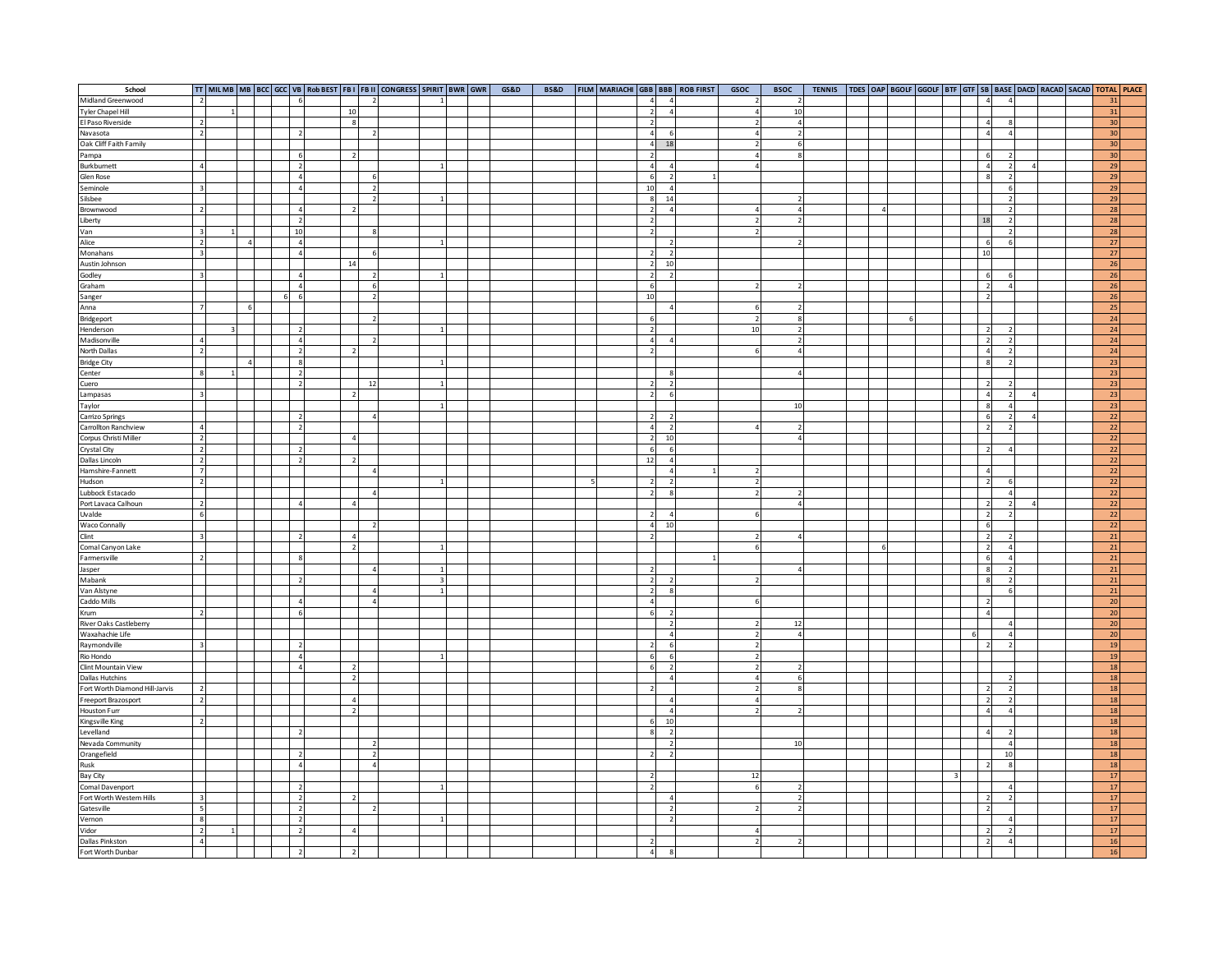| School                         |                           |  |  |                          |                          |                          | TT MILMB MB BCC GCC VB Rob BEST FBI FBII CONGRESS SPIRIT BWR GWR |  | GS&D | <b>BS&amp;D</b> | FILM MARIACHI GBB BBB ROB FIRST |                          | GSOC          | <b>BSOC</b> | <b>TENNIS</b> |  |  |  |                                             | TDES OAP BGOLF GGOLF BTF GTF SB BASE DACD RACAD SACAD TOTAL PLACE |            |  |
|--------------------------------|---------------------------|--|--|--------------------------|--------------------------|--------------------------|------------------------------------------------------------------|--|------|-----------------|---------------------------------|--------------------------|---------------|-------------|---------------|--|--|--|---------------------------------------------|-------------------------------------------------------------------|------------|--|
| Midland Greenwood              | $\overline{z}$            |  |  | 6                        |                          |                          |                                                                  |  |      |                 | $\overline{a}$                  | $\Delta$                 |               |             |               |  |  |  |                                             |                                                                   | 31         |  |
| <b>Tyler Chapel Hill</b>       |                           |  |  |                          | 10                       |                          |                                                                  |  |      |                 | $\overline{2}$                  | $\overline{A}$           | $\Delta$      | 10          |               |  |  |  |                                             |                                                                   | 31         |  |
| El Paso Riverside              | $\overline{2}$            |  |  |                          | 8                        |                          |                                                                  |  |      |                 | $\overline{2}$                  |                          |               |             |               |  |  |  | $\overline{4}$                              |                                                                   | 30         |  |
| Navasota                       | $\overline{2}$            |  |  |                          |                          |                          |                                                                  |  |      |                 | $\overline{4}$                  | 6                        |               |             |               |  |  |  | $\overline{4}$                              |                                                                   | 30         |  |
| Oak Cliff Faith Family         |                           |  |  |                          |                          |                          |                                                                  |  |      |                 | $\overline{4}$                  | 18                       |               |             |               |  |  |  |                                             |                                                                   | 30         |  |
| Pampa                          |                           |  |  | 6                        | $\overline{2}$           |                          |                                                                  |  |      |                 | $\overline{2}$                  |                          |               |             |               |  |  |  | 6                                           |                                                                   | 30         |  |
| Burkburnett                    | $\overline{a}$            |  |  | $\overline{\phantom{a}}$ |                          |                          |                                                                  |  |      |                 | $\overline{a}$                  | $\overline{4}$           | 4             |             |               |  |  |  | $\overline{a}$                              |                                                                   | 29         |  |
| Glen Rose                      |                           |  |  |                          |                          | -6                       |                                                                  |  |      |                 |                                 |                          |               |             |               |  |  |  |                                             |                                                                   |            |  |
|                                |                           |  |  | $\overline{4}$           |                          |                          |                                                                  |  |      |                 | $6\overline{6}$                 | $\overline{2}$           |               |             |               |  |  |  |                                             |                                                                   | 29         |  |
| Seminole                       |                           |  |  | $\overline{4}$           |                          | $\mathcal{L}$            |                                                                  |  |      |                 | 10                              | $\overline{4}$           |               |             |               |  |  |  |                                             |                                                                   | 29         |  |
| Silsbee                        |                           |  |  |                          |                          | $\overline{\phantom{a}}$ |                                                                  |  |      |                 | $\boldsymbol{8}$                | 14                       |               |             |               |  |  |  |                                             |                                                                   | 29         |  |
| Brownwood                      | $\overline{2}$            |  |  | $\overline{4}$           | $\overline{z}$           |                          |                                                                  |  |      |                 | $\overline{2}$                  | $\overline{4}$           |               |             |               |  |  |  |                                             |                                                                   | 28         |  |
| Liberty                        |                           |  |  | $\overline{2}$           |                          |                          |                                                                  |  |      |                 | $\overline{2}$                  |                          |               |             |               |  |  |  | 18                                          |                                                                   | 28         |  |
| Van                            | $\mathbf{R}$              |  |  | 10                       |                          | $\Omega$                 |                                                                  |  |      |                 | $\overline{2}$                  |                          |               |             |               |  |  |  |                                             |                                                                   | 28         |  |
| Alice                          | $\overline{2}$            |  |  | $\overline{4}$           |                          |                          |                                                                  |  |      |                 |                                 | $\mathfrak{p}$           |               |             |               |  |  |  | 6                                           |                                                                   | 27         |  |
| Monahans                       | $\overline{\mathbf{3}}$   |  |  | $\overline{4}$           |                          |                          |                                                                  |  |      |                 | $\mathcal{P}$                   | $\mathfrak{p}$           |               |             |               |  |  |  | 10                                          |                                                                   | 27         |  |
| Austin Johnson                 |                           |  |  |                          | 14                       |                          |                                                                  |  |      |                 | $\overline{2}$                  | 10                       |               |             |               |  |  |  |                                             |                                                                   | 26         |  |
| Godley                         | $\overline{\mathbf{3}}$   |  |  | $\overline{4}$           |                          | $\mathcal{P}$            |                                                                  |  |      |                 | $\overline{2}$                  | $\overline{2}$           |               |             |               |  |  |  | 6                                           |                                                                   | 26         |  |
| Graham                         |                           |  |  | $\overline{4}$           |                          | 6                        |                                                                  |  |      |                 | 6                               |                          |               |             |               |  |  |  | $\mathcal{L}$                               |                                                                   | 26         |  |
| Sanger                         |                           |  |  | 6 6                      |                          | $\overline{2}$           |                                                                  |  |      |                 | 10                              |                          |               |             |               |  |  |  | $\overline{2}$                              |                                                                   | 26         |  |
| Anna                           | $\overline{7}$            |  |  |                          |                          |                          |                                                                  |  |      |                 |                                 |                          |               |             |               |  |  |  |                                             |                                                                   | 25         |  |
| Bridgeport                     |                           |  |  |                          |                          | $\mathcal{D}$            |                                                                  |  |      |                 | 6                               |                          | っ             |             |               |  |  |  |                                             |                                                                   | 24         |  |
| Henderson                      |                           |  |  | $\overline{\phantom{a}}$ |                          |                          |                                                                  |  |      |                 | $\overline{2}$                  |                          | $10\,$        |             |               |  |  |  | $\overline{2}$                              |                                                                   | 24         |  |
| Madisonville                   | $\overline{4}$            |  |  | $\overline{4}$           |                          | $\overline{2}$           |                                                                  |  |      |                 | $\overline{a}$                  | $\Lambda$                |               |             |               |  |  |  | $\overline{2}$                              |                                                                   | 24         |  |
| North Dallas                   | $\overline{2}$            |  |  | $\overline{\phantom{a}}$ | $\overline{\phantom{a}}$ |                          |                                                                  |  |      |                 | $\overline{2}$                  |                          |               |             |               |  |  |  | $\overline{4}$                              |                                                                   | 24         |  |
| <b>Bridge City</b>             |                           |  |  | 8                        |                          |                          |                                                                  |  |      |                 |                                 |                          |               |             |               |  |  |  | $\boldsymbol{8}$                            |                                                                   | 23         |  |
| Center                         | $\boldsymbol{\mathsf{R}}$ |  |  | $\overline{2}$           |                          |                          |                                                                  |  |      |                 |                                 | 8                        |               |             |               |  |  |  |                                             |                                                                   | 23         |  |
| Cuero                          |                           |  |  | $\overline{\phantom{a}}$ |                          | 12                       |                                                                  |  |      |                 | $\overline{2}$                  | $\overline{2}$           |               |             |               |  |  |  | $\overline{z}$                              |                                                                   | 23         |  |
| Lampasas                       | $\mathbf{R}$              |  |  |                          |                          |                          |                                                                  |  |      |                 | $\overline{2}$                  | 6                        |               |             |               |  |  |  | $\overline{4}$                              |                                                                   | 23         |  |
| Taylor                         |                           |  |  |                          |                          |                          |                                                                  |  |      |                 |                                 |                          |               | 10          |               |  |  |  | $\mathbf{R}$                                |                                                                   | 23         |  |
|                                |                           |  |  |                          |                          |                          |                                                                  |  |      |                 | $\mathcal{L}$                   | $\overline{\phantom{a}}$ |               |             |               |  |  |  |                                             |                                                                   | 22         |  |
| Carrizo Springs                |                           |  |  | $\mathcal{L}$            |                          |                          |                                                                  |  |      |                 | 4 <sup>1</sup>                  | $\overline{2}$           |               |             |               |  |  |  | $\overline{2}$                              |                                                                   | 22         |  |
| Carrollton Ranchview           |                           |  |  |                          |                          |                          |                                                                  |  |      |                 |                                 |                          |               |             |               |  |  |  |                                             |                                                                   |            |  |
| Corpus Christi Miller          | $\overline{\phantom{a}}$  |  |  |                          | $\Delta$                 |                          |                                                                  |  |      |                 | $\overline{2}$                  | 10                       |               |             |               |  |  |  |                                             |                                                                   | 22         |  |
| Crystal City                   | $\overline{\phantom{a}}$  |  |  |                          |                          |                          |                                                                  |  |      |                 | $6 \overline{6}$                | $\mathbf{r}$             |               |             |               |  |  |  | $\mathcal{L}$                               |                                                                   | 22         |  |
| Dallas Lincoln                 | $\overline{2}$            |  |  |                          | $\overline{2}$           |                          |                                                                  |  |      |                 | 12                              |                          |               |             |               |  |  |  |                                             |                                                                   | 22         |  |
| Hamshire-Fannett               | $\overline{7}$            |  |  |                          |                          | Δ                        |                                                                  |  |      |                 |                                 |                          |               |             |               |  |  |  | $\Delta$                                    |                                                                   | 22         |  |
| Hudson                         | $\overline{2}$            |  |  |                          |                          |                          |                                                                  |  |      |                 | $\mathcal{L}$                   | $\mathcal{P}$            |               |             |               |  |  |  | $\overline{2}$                              |                                                                   | 22         |  |
| Lubbock Estacado               |                           |  |  |                          |                          | $\Delta$                 |                                                                  |  |      |                 | $\overline{2}$                  | $\boldsymbol{8}$         |               |             |               |  |  |  |                                             |                                                                   | 22         |  |
| Port Lavaca Calhoun            | $\overline{2}$            |  |  | $\overline{4}$           | $\overline{4}$           |                          |                                                                  |  |      |                 |                                 |                          |               |             |               |  |  |  | $\overline{2}$                              |                                                                   | 22         |  |
| Uvalde                         | 6                         |  |  |                          |                          |                          |                                                                  |  |      |                 | $\mathcal{L}$                   | $\overline{4}$           |               |             |               |  |  |  | $\overline{2}$                              |                                                                   | 22         |  |
| <b>Waco Connally</b>           |                           |  |  |                          |                          | $\overline{\phantom{a}}$ |                                                                  |  |      |                 | 4                               | 10                       |               |             |               |  |  |  | 6                                           |                                                                   | 22         |  |
| Clint                          | $\overline{\mathbf{3}}$   |  |  | $\overline{\phantom{a}}$ | $\overline{4}$           |                          |                                                                  |  |      |                 | $\mathcal{L}$                   |                          |               |             |               |  |  |  | $\overline{2}$                              |                                                                   | 21         |  |
| Comal Canyon Lake              |                           |  |  |                          | $\overline{\phantom{a}}$ |                          |                                                                  |  |      |                 |                                 |                          |               |             |               |  |  |  | $\overline{2}$                              |                                                                   | 21         |  |
| Farmersville                   | $\overline{2}$            |  |  | $\mathbf{R}$             |                          |                          |                                                                  |  |      |                 |                                 |                          |               |             |               |  |  |  | 6                                           |                                                                   | 21         |  |
| Jasper                         |                           |  |  |                          |                          | $\overline{a}$           |                                                                  |  |      |                 | $\overline{2}$                  |                          |               |             |               |  |  |  | $\bf 8$                                     |                                                                   | 21         |  |
| Mabank                         |                           |  |  | $\overline{2}$           |                          |                          |                                                                  |  |      |                 | $\overline{2}$                  | $\mathcal{P}$            |               |             |               |  |  |  | $\boldsymbol{8}$                            |                                                                   | 21         |  |
| Van Alstyne                    |                           |  |  |                          |                          | $\overline{4}$           |                                                                  |  |      |                 | $\overline{2}$                  | 8                        |               |             |               |  |  |  |                                             |                                                                   | 21         |  |
| Caddo Mills                    |                           |  |  | $\overline{4}$           |                          | $\overline{4}$           |                                                                  |  |      |                 | $\overline{a}$                  |                          |               |             |               |  |  |  | $\mathcal{L}$                               |                                                                   | 20         |  |
| Krum                           |                           |  |  | -6                       |                          |                          |                                                                  |  |      |                 | 6                               | $\overline{2}$           |               |             |               |  |  |  |                                             |                                                                   | 20         |  |
| River Oaks Castleberry         |                           |  |  |                          |                          |                          |                                                                  |  |      |                 |                                 | $\overline{2}$           |               | 12          |               |  |  |  |                                             |                                                                   | 20         |  |
| Waxahachie Life                |                           |  |  |                          |                          |                          |                                                                  |  |      |                 |                                 | $\Delta$                 |               |             |               |  |  |  |                                             |                                                                   | 20         |  |
| Raymondville                   |                           |  |  |                          |                          |                          |                                                                  |  |      |                 | $\mathcal{L}$                   | $\epsilon$               |               |             |               |  |  |  | $\mathcal{L}$                               |                                                                   | 19         |  |
| Rio Hondo                      |                           |  |  | $\Delta$                 |                          |                          |                                                                  |  |      |                 | 6                               | 6                        |               |             |               |  |  |  |                                             |                                                                   | 19         |  |
| Clint Mountain View            |                           |  |  | $\overline{A}$           | $\overline{\phantom{a}}$ |                          |                                                                  |  |      |                 | 6                               | $\mathcal{P}$            |               |             |               |  |  |  |                                             |                                                                   | 18         |  |
| <b>Dallas Hutchins</b>         |                           |  |  |                          | $\overline{\phantom{a}}$ |                          |                                                                  |  |      |                 |                                 |                          |               |             |               |  |  |  |                                             |                                                                   | 18         |  |
| Fort Worth Diamond Hill-Jarvis | $\overline{2}$            |  |  |                          |                          |                          |                                                                  |  |      |                 | $\overline{2}$                  |                          |               |             |               |  |  |  | $\overline{2}$                              |                                                                   | 18         |  |
| Freeport Brazosport            |                           |  |  |                          | $\overline{4}$           |                          |                                                                  |  |      |                 |                                 | 4                        | 4             |             |               |  |  |  |                                             |                                                                   | 18         |  |
| Houston Furr                   | $\overline{2}$            |  |  |                          | $\overline{2}$           |                          |                                                                  |  |      |                 |                                 | $\Delta$                 | $\mathcal{D}$ |             |               |  |  |  | $\overline{2}$                              |                                                                   |            |  |
| Kingsville King                |                           |  |  |                          |                          |                          |                                                                  |  |      |                 |                                 |                          |               |             |               |  |  |  | $\overline{a}$                              |                                                                   | 18         |  |
|                                | $\overline{2}$            |  |  |                          |                          |                          |                                                                  |  |      |                 |                                 | 10                       |               |             |               |  |  |  |                                             |                                                                   | ${\bf 18}$ |  |
| Levelland                      |                           |  |  | $\overline{\phantom{a}}$ |                          |                          |                                                                  |  |      |                 |                                 | $\overline{z}$           |               |             |               |  |  |  |                                             |                                                                   | 18         |  |
| Nevada Community               |                           |  |  |                          |                          |                          |                                                                  |  |      |                 |                                 | $\mathfrak{p}$           |               | 10          |               |  |  |  |                                             |                                                                   | 18         |  |
| Orangefield                    |                           |  |  | $\overline{\phantom{a}}$ |                          | $\overline{2}$           |                                                                  |  |      |                 | $\mathcal{P}$                   | $\mathfrak{p}$           |               |             |               |  |  |  | 10                                          |                                                                   | 18         |  |
| Rusk                           |                           |  |  | $\overline{4}$           |                          | $\overline{4}$           |                                                                  |  |      |                 |                                 |                          |               |             |               |  |  |  | $\overline{z}$<br>$\boldsymbol{\mathsf{R}}$ |                                                                   | 18         |  |
| <b>Bay City</b>                |                           |  |  |                          |                          |                          |                                                                  |  |      |                 | $\overline{2}$                  |                          | 12            |             |               |  |  |  |                                             |                                                                   | 17         |  |
| Comal Davenport                |                           |  |  |                          |                          |                          |                                                                  |  |      |                 | $\overline{2}$                  |                          |               |             |               |  |  |  |                                             |                                                                   | 17         |  |
| Fort Worth Western Hills       | $\overline{3}$            |  |  | $\overline{\phantom{a}}$ |                          |                          |                                                                  |  |      |                 |                                 |                          |               |             |               |  |  |  | $\mathcal{L}$                               |                                                                   | 17         |  |
| Gatesville                     | $\overline{a}$            |  |  | $\overline{\phantom{a}}$ |                          | ∍                        |                                                                  |  |      |                 |                                 | $\mathcal{L}$            |               |             |               |  |  |  | $\overline{2}$                              |                                                                   | $17\,$     |  |
| Vernon                         | 8                         |  |  | $\overline{\phantom{a}}$ |                          |                          |                                                                  |  |      |                 |                                 | $\mathcal{P}$            |               |             |               |  |  |  |                                             |                                                                   | 17         |  |
| Vidor                          | $\overline{2}$            |  |  | $\overline{2}$           | $\Delta$                 |                          |                                                                  |  |      |                 |                                 |                          | $\Delta$      |             |               |  |  |  |                                             |                                                                   | 17         |  |
| Dallas Pinkston                | $\overline{4}$            |  |  |                          |                          |                          |                                                                  |  |      |                 |                                 |                          |               |             |               |  |  |  |                                             |                                                                   | 16         |  |
| Fort Worth Dunbar              |                           |  |  |                          |                          |                          |                                                                  |  |      |                 |                                 |                          |               |             |               |  |  |  |                                             |                                                                   | 16         |  |